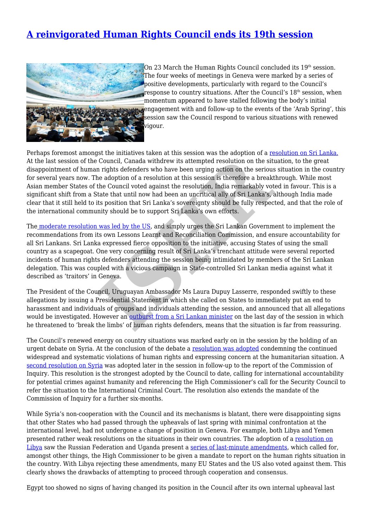## **[A reinvigorated Human Rights Council ends its 19th session](http://www.ishr.ch/news/reinvigorated-human-rights-council-ends-its-19th-session)**



On 23 March the Human Rights Council concluded its  $19<sup>th</sup>$  session. The four weeks of meetings in Geneva were marked by a series of positive developments, particularly with regard to the Council's response to country situations. After the Council's  $18<sup>th</sup>$  session, when momentum appeared to have stalled following the body's initial engagement with and follow-up to the events of the 'Arab Spring', this session saw the Council respond to various situations with renewed vigour.

Perhaps foremost amongst the initiatives taken at this session was the adoption of a [resolution on Sri Lanka.](http://ap.ohchr.org/documents/dpage_e.aspx?si=A/HRC/19/L.2) At the last session of the Council, Canada withdrew its attempted resolution on the situation, to the great disappointment of human rights defenders who have been urging action on the serious situation in the country for several years now. The adoption of a resolution at this session is therefore a breakthrough. While most Asian member States of the Council voted against the resolution, India remarkably voted in favour. This is a significant shift from a State that until now had been an uncritical ally of Sri Lanka's, although India made clear that it still held to its position that Sri Lanka's sovereignty should be fully respected, and that the role of the international community should be to support Sri Lanka's own efforts. [I](http://www.bbc.co.uk/news/world-asia-17491832)s the mutatives datent at this session was the atoption of a respect<br>I. Council, Canada withdrew its sttempted resolution on the sit<br>In rights defenders who have been urging action on the sit<br>In rights defenders who have

The [moderate resolution was led by the US](http://www.unmultimedia.org/tv/webcast/2012/03/vote-on-l-2-item2-52nd-meeting-19th-session.html), and simply urges the Sri Lankan Government to implement the recommendations from its own Lessons Learnt and Reconciliation Commission, and ensure accountability for all Sri Lankans. Sri Lanka expressed fierce opposition to the initiative, accusing States of using the small country as a scapegoat. One very concerning result of Sri Lanka's trenchant attitude were several reported incidents of human rights defenders attending the session being intimidated by members of the Sri Lankan delegation. This was coupled with a vicious campaign in State-controlled Sri Lankan media against what it described as 'traitors' in Geneva.

The President of the Council, Uruguayan Ambassador Ms Laura Dupuy Lasserre, responded swiftly to these allegations by issuing a Presidential Statement in which she called on States to immediately put an end to harassment and individuals of groups and individuals attending the session, and announced that all allegations would be investigated. However an outburst from a Sri Lankan minister on the last day of the session in which he threatened to 'break the limbs' of human rights defenders, means that the situation is far from reassuring.

The Council's renewed energy on country situations was marked early on in the session by the holding of an urgent debate on Syria. At the conclusion of the debate a [resolution was adopted](http://ap.ohchr.org/documents/dpage_e.aspx?si=A/HRC/19/L.1) condemning the continued widespread and systematic violations of human rights and expressing concern at the humanitarian situation. A [second resolution on Syria](http://ap.ohchr.org/documents/dpage_e.aspx?si=A/HRC/19/L.38/Rev.1) was adopted later in the session in follow-up to the report of the Commission of Inquiry. This resolution is the strongest adopted by the Council to date, calling for international accountability for potential crimes against humanity and referencing the High Commissioner's call for the Security Council to refer the situation to the International Criminal Court. The resolution also extends the mandate of the Commission of Inquiry for a further six-months.

While Syria's non-cooperation with the Council and its mechanisms is blatant, there were disappointing signs that other States who had passed through the upheavals of last spring with minimal confrontation at the international level, had not undergone a change of position in Geneva. For example, both Libya and Yemen presented rather weak resolutions on the situations in their own countries. The adoption of a [resolution on](http://ap.ohchr.org/documents/dpage_e.aspx?si=A/HRC/19/L.39/Rev.1) [Libya](http://ap.ohchr.org/documents/dpage_e.aspx?si=A/HRC/19/L.39/Rev.1) saw the Russian Federation and Uganda present a [series of last-minute amendments,](http://www.unmultimedia.org/tv/webcast/2012/03/vote-on-l-39-rev-1-item3-55th-meeting-19th-session.html) which called for, amongst other things, the High Commissioner to be given a mandate to report on the human rights situation in the country. With Libya rejecting these amendments, many EU States and the US also voted against them. This clearly shows the drawbacks of attempting to proceed through cooperation and consensus.

Egypt too showed no signs of having changed its position in the Council after its own internal upheaval last